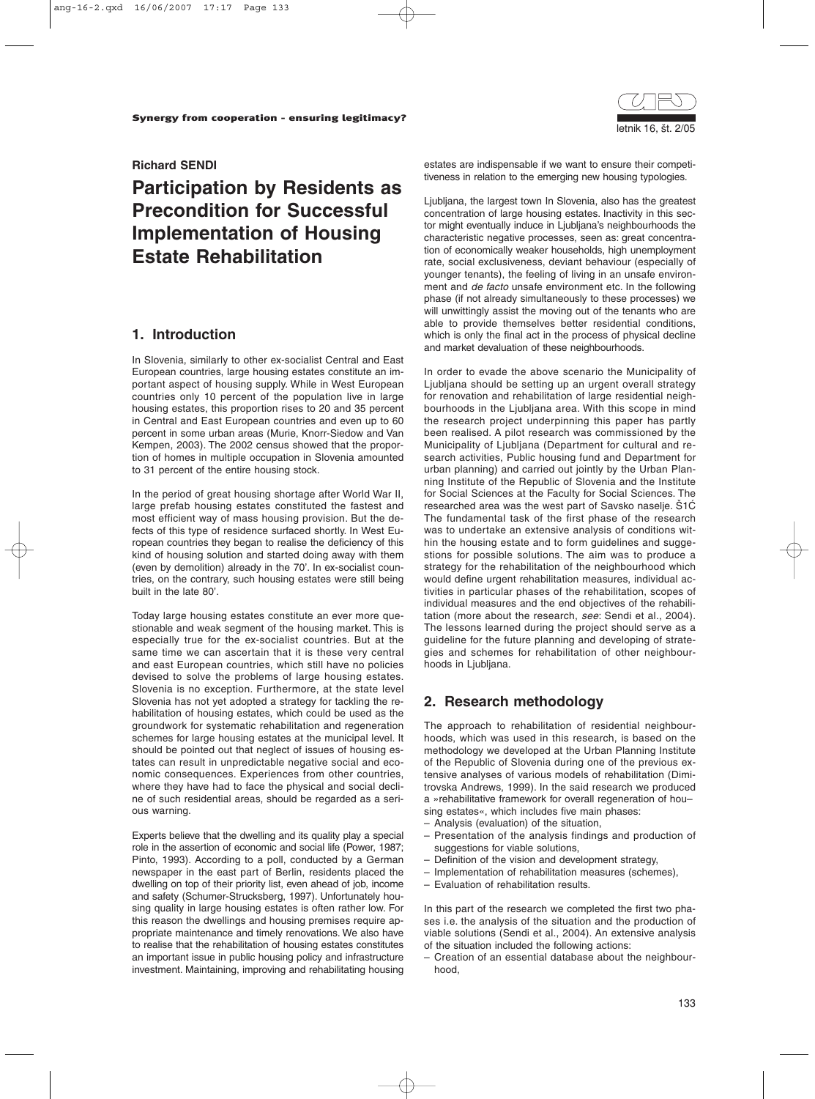

#### **Richard SENDI**

# **Participation by Residents as Precondition for Successful Implementation of Housing Estate Rehabilitation**

## **1. Introduction**

In Slovenia, similarly to other ex-socialist Central and East European countries, large housing estates constitute an important aspect of housing supply. While in West European countries only 10 percent of the population live in large housing estates, this proportion rises to 20 and 35 percent in Central and East European countries and even up to 60 percent in some urban areas (Murie, Knorr-Siedow and Van Kempen, 2003). The 2002 census showed that the proportion of homes in multiple occupation in Slovenia amounted to 31 percent of the entire housing stock.

In the period of great housing shortage after World War II, large prefab housing estates constituted the fastest and most efficient way of mass housing provision. But the defects of this type of residence surfaced shortly. In West European countries they began to realise the deficiency of this kind of housing solution and started doing away with them (even by demolition) already in the 70'. In ex-socialist countries, on the contrary, such housing estates were still being built in the late 80'.

Today large housing estates constitute an ever more questionable and weak segment of the housing market. This is especially true for the ex-socialist countries. But at the same time we can ascertain that it is these very central and east European countries, which still have no policies devised to solve the problems of large housing estates. Slovenia is no exception. Furthermore, at the state level Slovenia has not yet adopted a strategy for tackling the rehabilitation of housing estates, which could be used as the groundwork for systematic rehabilitation and regeneration schemes for large housing estates at the municipal level. It should be pointed out that neglect of issues of housing estates can result in unpredictable negative social and economic consequences. Experiences from other countries, where they have had to face the physical and social decline of such residential areas, should be regarded as a serious warning.

Experts believe that the dwelling and its quality play a special role in the assertion of economic and social life (Power, 1987; Pinto, 1993). According to a poll, conducted by a German newspaper in the east part of Berlin, residents placed the dwelling on top of their priority list, even ahead of job, income and safety (Schumer-Strucksberg, 1997). Unfortunately housing quality in large housing estates is often rather low. For this reason the dwellings and housing premises require appropriate maintenance and timely renovations. We also have to realise that the rehabilitation of housing estates constitutes an important issue in public housing policy and infrastructure investment. Maintaining, improving and rehabilitating housing estates are indispensable if we want to ensure their competitiveness in relation to the emerging new housing typologies.

Ljubljana, the largest town In Slovenia, also has the greatest concentration of large housing estates. Inactivity in this sector might eventually induce in Ljubljana's neighbourhoods the characteristic negative processes, seen as: great concentration of economically weaker households, high unemployment rate, social exclusiveness, deviant behaviour (especially of younger tenants), the feeling of living in an unsafe environment and *de facto* unsafe environment etc. In the following phase (if not already simultaneously to these processes) we will unwittingly assist the moving out of the tenants who are able to provide themselves better residential conditions, which is only the final act in the process of physical decline and market devaluation of these neighbourhoods.

In order to evade the above scenario the Municipality of Ljubljana should be setting up an urgent overall strategy for renovation and rehabilitation of large residential neighbourhoods in the Ljubljana area. With this scope in mind the research project underpinning this paper has partly been realised. A pilot research was commissioned by the Municipality of Ljubljana (Department for cultural and research activities, Public housing fund and Department for urban planning) and carried out jointly by the Urban Planning Institute of the Republic of Slovenia and the Institute for Social Sciences at the Faculty for Social Sciences. The researched area was the west part of Savsko naselje.  $\text{S1C}$ The fundamental task of the first phase of the research was to undertake an extensive analysis of conditions within the housing estate and to form guidelines and suggestions for possible solutions. The aim was to produce a strategy for the rehabilitation of the neighbourhood which would define urgent rehabilitation measures, individual activities in particular phases of the rehabilitation, scopes of individual measures and the end objectives of the rehabilitation (more about the research, *see*: Sendi et al., 2004). The lessons learned during the project should serve as a guideline for the future planning and developing of strategies and schemes for rehabilitation of other neighbourhoods in Ljubljana.

# **2. Research methodology**

The approach to rehabilitation of residential neighbourhoods, which was used in this research, is based on the methodology we developed at the Urban Planning Institute of the Republic of Slovenia during one of the previous extensive analyses of various models of rehabilitation (Dimitrovska Andrews, 1999). In the said research we produced a »rehabilitative framework for overall regeneration of hou– sing estates«, which includes five main phases:

- Analysis (evaluation) of the situation,
- Presentation of the analysis findings and production of suggestions for viable solutions,
- Definition of the vision and development strategy,
- Implementation of rehabilitation measures (schemes),
- Evaluation of rehabilitation results.

In this part of the research we completed the first two phases i.e. the analysis of the situation and the production of viable solutions (Sendi et al., 2004). An extensive analysis of the situation included the following actions:

– Creation of an essential database about the neighbourhood,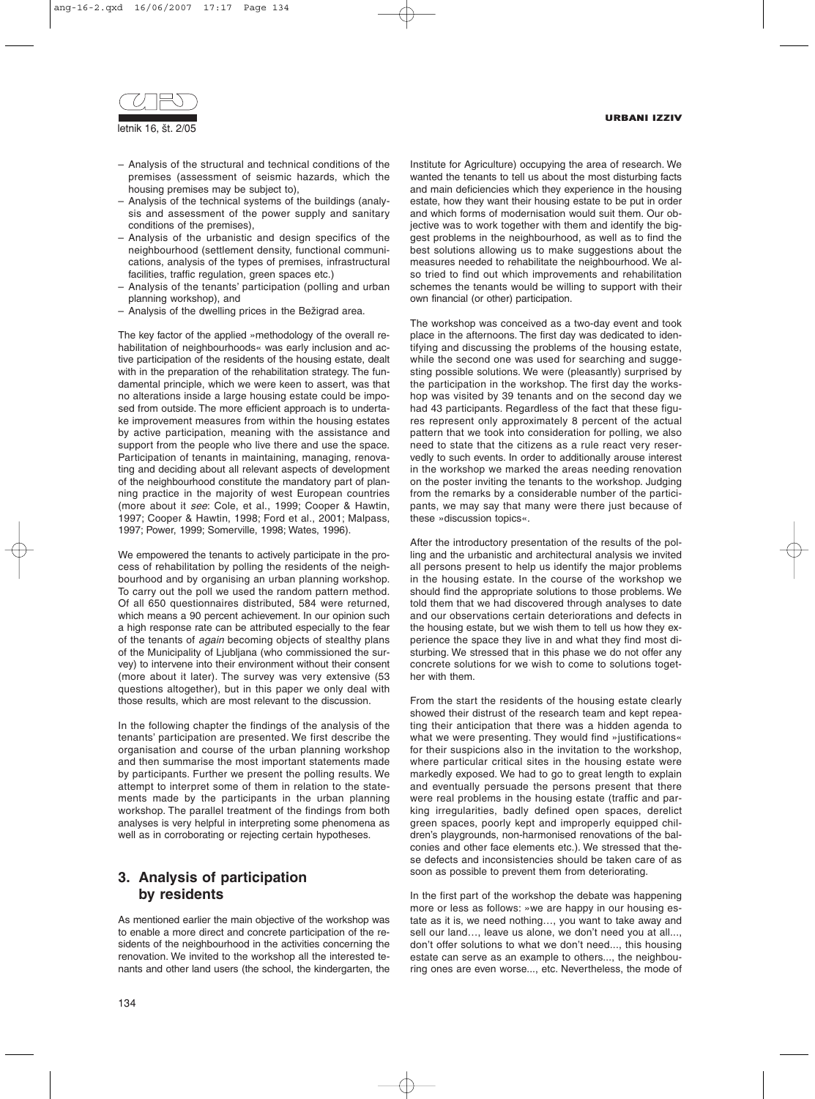

- Analysis of the structural and technical conditions of the premises (assessment of seismic hazards, which the housing premises may be subject to),
- Analysis of the technical systems of the buildings (analysis and assessment of the power supply and sanitary conditions of the premises),
- Analysis of the urbanistic and design specifics of the neighbourhood (settlement density, functional communications, analysis of the types of premises, infrastructural facilities, traffic regulation, green spaces etc.)
- Analysis of the tenants' participation (polling and urban planning workshop), and
- Analysis of the dwelling prices in the Bežigrad area.

The key factor of the applied »methodology of the overall rehabilitation of neighbourhoods« was early inclusion and active participation of the residents of the housing estate, dealt with in the preparation of the rehabilitation strategy. The fundamental principle, which we were keen to assert, was that no alterations inside a large housing estate could be imposed from outside. The more efficient approach is to undertake improvement measures from within the housing estates by active participation, meaning with the assistance and support from the people who live there and use the space. Participation of tenants in maintaining, managing, renovating and deciding about all relevant aspects of development of the neighbourhood constitute the mandatory part of planning practice in the majority of west European countries (more about it *see*: Cole, et al., 1999; Cooper & Hawtin, 1997; Cooper & Hawtin, 1998; Ford et al., 2001; Malpass, 1997; Power, 1999; Somerville, 1998; Wates, 1996).

We empowered the tenants to actively participate in the process of rehabilitation by polling the residents of the neighbourhood and by organising an urban planning workshop. To carry out the poll we used the random pattern method. Of all 650 questionnaires distributed, 584 were returned, which means a 90 percent achievement. In our opinion such a high response rate can be attributed especially to the fear of the tenants of *again* becoming objects of stealthy plans of the Municipality of Ljubljana (who commissioned the survey) to intervene into their environment without their consent (more about it later). The survey was very extensive (53 questions altogether), but in this paper we only deal with those results, which are most relevant to the discussion.

In the following chapter the findings of the analysis of the tenants' participation are presented. We first describe the organisation and course of the urban planning workshop and then summarise the most important statements made by participants. Further we present the polling results. We attempt to interpret some of them in relation to the statements made by the participants in the urban planning workshop. The parallel treatment of the findings from both analyses is very helpful in interpreting some phenomena as well as in corroborating or rejecting certain hypotheses.

# **3. Analysis of participation by residents**

As mentioned earlier the main objective of the workshop was to enable a more direct and concrete participation of the residents of the neighbourhood in the activities concerning the renovation. We invited to the workshop all the interested tenants and other land users (the school, the kindergarten, the Institute for Agriculture) occupying the area of research. We wanted the tenants to tell us about the most disturbing facts and main deficiencies which they experience in the housing estate, how they want their housing estate to be put in order and which forms of modernisation would suit them. Our objective was to work together with them and identify the biggest problems in the neighbourhood, as well as to find the best solutions allowing us to make suggestions about the measures needed to rehabilitate the neighbourhood. We also tried to find out which improvements and rehabilitation schemes the tenants would be willing to support with their own financial (or other) participation.

The workshop was conceived as a two-day event and took place in the afternoons. The first day was dedicated to identifying and discussing the problems of the housing estate, while the second one was used for searching and suggesting possible solutions. We were (pleasantly) surprised by the participation in the workshop. The first day the workshop was visited by 39 tenants and on the second day we had 43 participants. Regardless of the fact that these figures represent only approximately 8 percent of the actual pattern that we took into consideration for polling, we also need to state that the citizens as a rule react very reservedly to such events. In order to additionally arouse interest in the workshop we marked the areas needing renovation on the poster inviting the tenants to the workshop. Judging from the remarks by a considerable number of the participants, we may say that many were there just because of these »discussion topics«.

After the introductory presentation of the results of the polling and the urbanistic and architectural analysis we invited all persons present to help us identify the major problems in the housing estate. In the course of the workshop we should find the appropriate solutions to those problems. We told them that we had discovered through analyses to date and our observations certain deteriorations and defects in the housing estate, but we wish them to tell us how they experience the space they live in and what they find most disturbing. We stressed that in this phase we do not offer any concrete solutions for we wish to come to solutions together with them.

From the start the residents of the housing estate clearly showed their distrust of the research team and kept repeating their anticipation that there was a hidden agenda to what we were presenting. They would find »justifications« for their suspicions also in the invitation to the workshop, where particular critical sites in the housing estate were markedly exposed. We had to go to great length to explain and eventually persuade the persons present that there were real problems in the housing estate (traffic and parking irregularities, badly defined open spaces, derelict green spaces, poorly kept and improperly equipped children's playgrounds, non-harmonised renovations of the balconies and other face elements etc.). We stressed that these defects and inconsistencies should be taken care of as soon as possible to prevent them from deteriorating.

In the first part of the workshop the debate was happening more or less as follows: »we are happy in our housing estate as it is, we need nothing…, you want to take away and sell our land…, leave us alone, we don't need you at all..., don't offer solutions to what we don't need..., this housing estate can serve as an example to others..., the neighbouring ones are even worse..., etc. Nevertheless, the mode of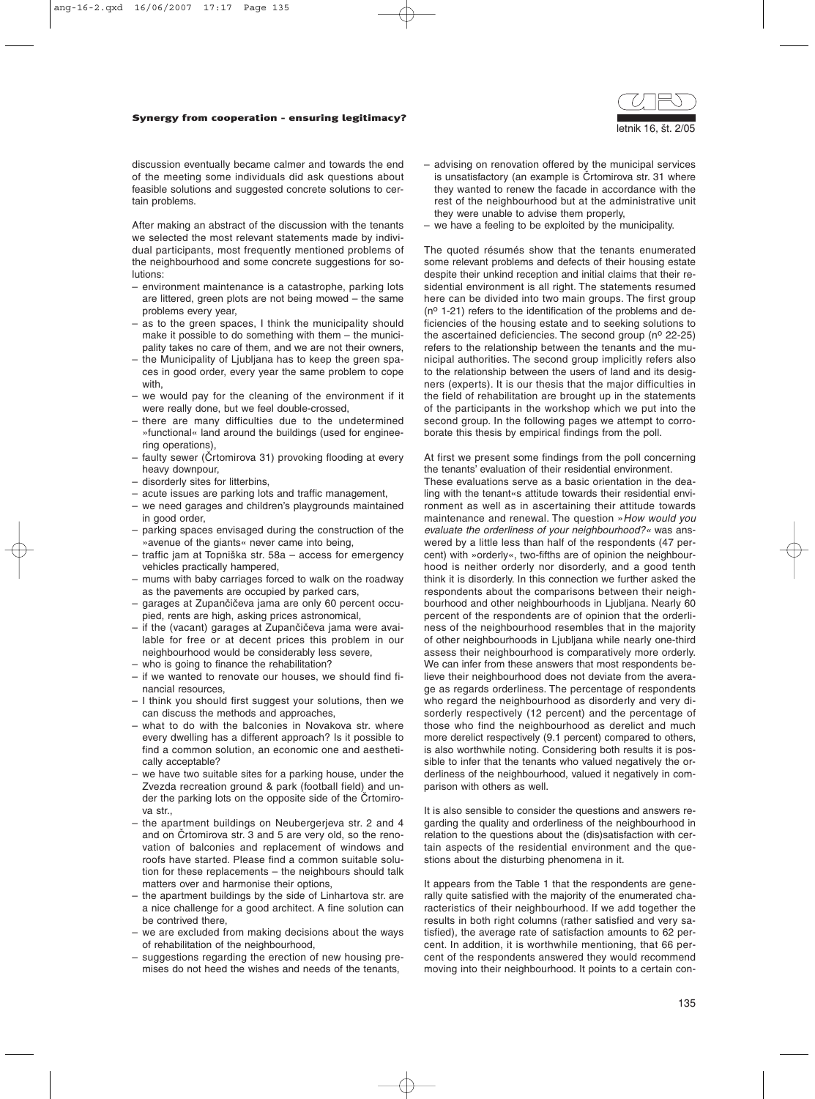#### Synergy from cooperation - ensuring legitimacy?



discussion eventually became calmer and towards the end of the meeting some individuals did ask questions about feasible solutions and suggested concrete solutions to certain problems.

After making an abstract of the discussion with the tenants we selected the most relevant statements made by individual participants, most frequently mentioned problems of the neighbourhood and some concrete suggestions for solutions:

- environment maintenance is a catastrophe, parking lots are littered, green plots are not being mowed – the same problems every year,
- as to the green spaces, I think the municipality should make it possible to do something with them – the municipality takes no care of them, and we are not their owners,
- the Municipality of Ljubljana has to keep the green spaces in good order, every year the same problem to cope with,
- we would pay for the cleaning of the environment if it were really done, but we feel double-crossed,
- there are many difficulties due to the undetermined »functional« land around the buildings (used for engineering operations),
- faulty sewer (Črtomirova 31) provoking flooding at every heavy downpour,
- disorderly sites for litterbins,
- acute issues are parking lots and traffic management,
- we need garages and children's playgrounds maintained in good order,
- parking spaces envisaged during the construction of the »avenue of the giants« never came into being,
- traffic jam at Topniška str. 58a access for emergency vehicles practically hampered,
- mums with baby carriages forced to walk on the roadway as the pavements are occupied by parked cars,
- garages at Zupančičeva jama are only 60 percent occupied, rents are high, asking prices astronomical,
- $-$  if the (vacant) garages at Zupančičeva jama were available for free or at decent prices this problem in our neighbourhood would be considerably less severe,
- who is going to finance the rehabilitation?
- if we wanted to renovate our houses, we should find financial resources,
- I think you should first suggest your solutions, then we can discuss the methods and approaches,
- what to do with the balconies in Novakova str. where every dwelling has a different approach? Is it possible to find a common solution, an economic one and aesthetically acceptable?
- we have two suitable sites for a parking house, under the Zvezda recreation ground & park (football field) and under the parking lots on the opposite side of the Crtomirova str.,
- the apartment buildings on Neubergerjeva str. 2 and 4 and on Crtomirova str. 3 and 5 are very old, so the renovation of balconies and replacement of windows and roofs have started. Please find a common suitable solution for these replacements – the neighbours should talk matters over and harmonise their options,
- the apartment buildings by the side of Linhartova str. are a nice challenge for a good architect. A fine solution can be contrived there,
- we are excluded from making decisions about the ways of rehabilitation of the neighbourhood,
- suggestions regarding the erection of new housing premises do not heed the wishes and needs of the tenants,
- advising on renovation offered by the municipal services is unsatisfactory (an example is Črtomirova str. 31 where they wanted to renew the facade in accordance with the rest of the neighbourhood but at the administrative unit they were unable to advise them properly,
- we have a feeling to be exploited by the municipality.

The quoted résumés show that the tenants enumerated some relevant problems and defects of their housing estate despite their unkind reception and initial claims that their residential environment is all right. The statements resumed here can be divided into two main groups. The first group  $(n<sup>o</sup> 1-21)$  refers to the identification of the problems and deficiencies of the housing estate and to seeking solutions to the ascertained deficiencies. The second group ( $n^{\circ}$  22-25) refers to the relationship between the tenants and the municipal authorities. The second group implicitly refers also to the relationship between the users of land and its designers (experts). It is our thesis that the major difficulties in the field of rehabilitation are brought up in the statements of the participants in the workshop which we put into the second group. In the following pages we attempt to corroborate this thesis by empirical findings from the poll.

At first we present some findings from the poll concerning the tenants' evaluation of their residential environment.

These evaluations serve as a basic orientation in the dealing with the tenant«s attitude towards their residential environment as well as in ascertaining their attitude towards maintenance and renewal. The question »*How would you evaluate the orderliness of your neighbourhood?«* was answered by a little less than half of the respondents (47 percent) with »orderly«, two-fifths are of opinion the neighbourhood is neither orderly nor disorderly, and a good tenth think it is disorderly. In this connection we further asked the respondents about the comparisons between their neighbourhood and other neighbourhoods in Ljubljana. Nearly 60 percent of the respondents are of opinion that the orderliness of the neighbourhood resembles that in the majority of other neighbourhoods in Ljubljana while nearly one-third assess their neighbourhood is comparatively more orderly. We can infer from these answers that most respondents believe their neighbourhood does not deviate from the average as regards orderliness. The percentage of respondents who regard the neighbourhood as disorderly and very disorderly respectively (12 percent) and the percentage of those who find the neighbourhood as derelict and much more derelict respectively (9.1 percent) compared to others, is also worthwhile noting. Considering both results it is possible to infer that the tenants who valued negatively the orderliness of the neighbourhood, valued it negatively in comparison with others as well.

It is also sensible to consider the questions and answers regarding the quality and orderliness of the neighbourhood in relation to the questions about the (dis)satisfaction with certain aspects of the residential environment and the questions about the disturbing phenomena in it.

It appears from the Table 1 that the respondents are generally quite satisfied with the majority of the enumerated characteristics of their neighbourhood. If we add together the results in both right columns (rather satisfied and very satisfied), the average rate of satisfaction amounts to 62 percent. In addition, it is worthwhile mentioning, that 66 percent of the respondents answered they would recommend moving into their neighbourhood. It points to a certain con-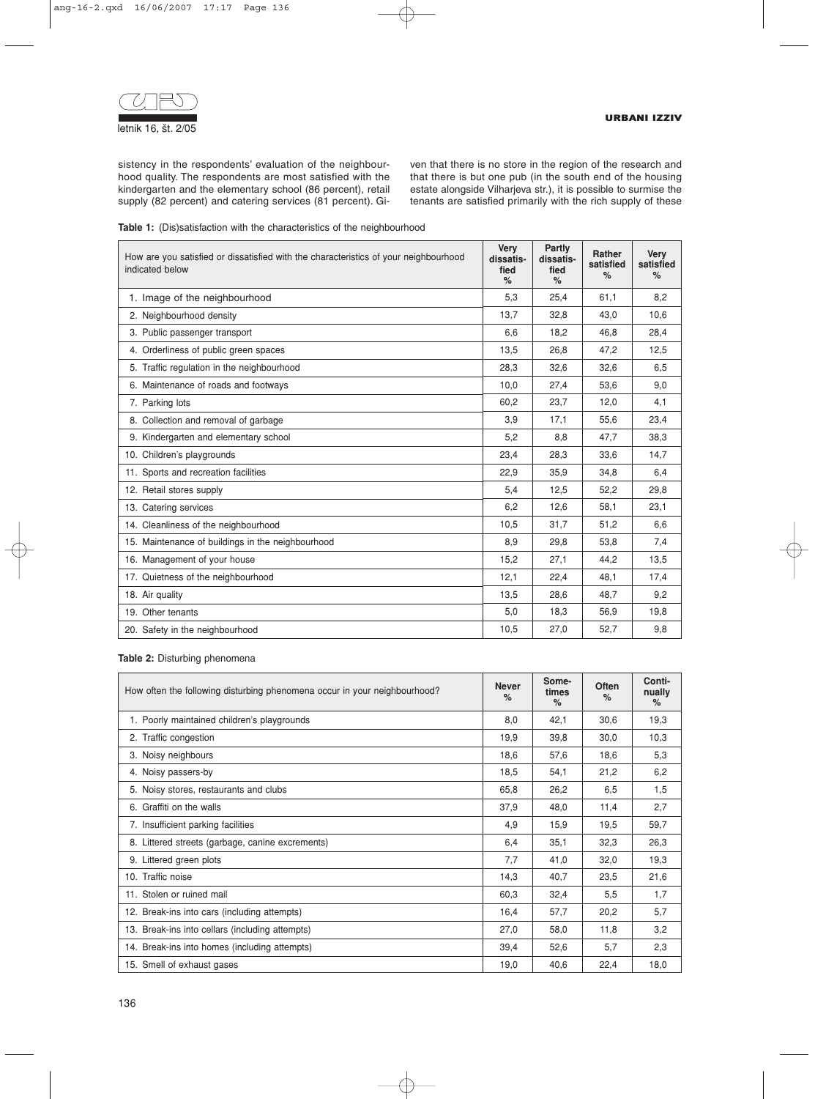

sistency in the respondents' evaluation of the neighbourhood quality. The respondents are most satisfied with the kindergarten and the elementary school (86 percent), retail supply (82 percent) and catering services (81 percent). Given that there is no store in the region of the research and that there is but one pub (in the south end of the housing estate alongside Vilharjeva str.), it is possible to surmise the tenants are satisfied primarily with the rich supply of these

|  |  | <b>Table 1:</b> (Dis)satisfaction with the characteristics of the neighbourhood |  |  |  |  |  |  |  |
|--|--|---------------------------------------------------------------------------------|--|--|--|--|--|--|--|
|--|--|---------------------------------------------------------------------------------|--|--|--|--|--|--|--|

| How are you satisfied or dissatisfied with the characteristics of your neighbourhood<br>indicated below | <b>Very</b><br>dissatis-<br>fied<br>% | Partly<br>dissatis-<br>fied<br>% | <b>Rather</b><br>satisfied<br>% | <b>Very</b><br>satisfied<br>% |
|---------------------------------------------------------------------------------------------------------|---------------------------------------|----------------------------------|---------------------------------|-------------------------------|
| 1. Image of the neighbourhood                                                                           | 5,3                                   | 25,4                             | 61,1                            | 8,2                           |
| 2. Neighbourhood density                                                                                | 13,7                                  | 32,8                             | 43,0                            | 10,6                          |
| 3. Public passenger transport                                                                           | 6,6                                   | 18,2                             | 46.8                            | 28,4                          |
| 4. Orderliness of public green spaces                                                                   | 13,5                                  | 26.8                             | 47,2                            | 12,5                          |
| 5. Traffic regulation in the neighbourhood                                                              | 28,3                                  | 32,6                             | 32,6                            | 6,5                           |
| 6. Maintenance of roads and footways                                                                    | 10,0                                  | 27,4                             | 53,6                            | 9,0                           |
| 7. Parking lots                                                                                         | 60.2                                  | 23,7                             | 12,0                            | 4,1                           |
| 8. Collection and removal of garbage                                                                    | 3,9                                   | 17,1                             | 55,6                            | 23,4                          |
| 9. Kindergarten and elementary school                                                                   | 5,2                                   | 8,8                              | 47,7                            | 38.3                          |
| 10. Children's playgrounds                                                                              | 23,4                                  | 28,3                             | 33,6                            | 14,7                          |
| 11. Sports and recreation facilities                                                                    | 22,9                                  | 35,9                             | 34,8                            | 6,4                           |
| 12. Retail stores supply                                                                                | 5,4                                   | 12,5                             | 52,2                            | 29,8                          |
| 13. Catering services                                                                                   | 6,2                                   | 12,6                             | 58,1                            | 23,1                          |
| 14. Cleanliness of the neighbourhood                                                                    | 10,5                                  | 31,7                             | 51,2                            | 6.6                           |
| 15. Maintenance of buildings in the neighbourhood                                                       | 8.9                                   | 29.8                             | 53,8                            | 7,4                           |
| 16. Management of your house                                                                            | 15,2                                  | 27,1                             | 44,2                            | 13,5                          |
| 17. Quietness of the neighbourhood                                                                      | 12,1                                  | 22,4                             | 48,1                            | 17,4                          |
| 18. Air quality                                                                                         | 13,5                                  | 28,6                             | 48,7                            | 9,2                           |
| 19. Other tenants                                                                                       | 5,0                                   | 18,3                             | 56,9                            | 19,8                          |
| 20. Safety in the neighbourhood                                                                         | 10,5                                  | 27,0                             | 52,7                            | 9,8                           |

### **Table 2:** Disturbing phenomena

| How often the following disturbing phenomena occur in your neighbourhood? | <b>Never</b><br>% | Some-<br>times<br>$\%$ | Often<br>$\%$ | Conti-<br>nually<br>$\%$ |
|---------------------------------------------------------------------------|-------------------|------------------------|---------------|--------------------------|
| 1. Poorly maintained children's playgrounds                               | 8,0               | 42,1                   | 30,6          | 19,3                     |
| 2. Traffic congestion                                                     | 19,9              | 39,8                   | 30,0          | 10,3                     |
| 3. Noisy neighbours                                                       | 18,6              | 57,6                   | 18,6          | 5,3                      |
| 4. Noisy passers-by                                                       | 18,5              | 54,1                   | 21,2          | 6,2                      |
| 5. Noisy stores, restaurants and clubs                                    | 65,8              | 26,2                   | 6,5           | 1,5                      |
| 6. Graffiti on the walls                                                  | 37,9              | 48,0                   | 11,4          | 2,7                      |
| 7. Insufficient parking facilities                                        | 4,9               | 15,9                   | 19,5          | 59,7                     |
| 8. Littered streets (garbage, canine excrements)                          | 6,4               | 35,1                   | 32,3          | 26,3                     |
| 9. Littered green plots                                                   | 7,7               | 41,0                   | 32,0          | 19,3                     |
| 10. Traffic noise                                                         | 14,3              | 40,7                   | 23,5          | 21,6                     |
| 11. Stolen or ruined mail                                                 | 60,3              | 32,4                   | 5,5           | 1,7                      |
| 12. Break-ins into cars (including attempts)                              | 16,4              | 57,7                   | 20,2          | 5,7                      |
| 13. Break-ins into cellars (including attempts)                           | 27,0              | 58,0                   | 11,8          | 3,2                      |
| 14. Break-ins into homes (including attempts)                             | 39,4              | 52,6                   | 5,7           | 2,3                      |
| 15. Smell of exhaust gases                                                | 19,0              | 40,6                   | 22,4          | 18,0                     |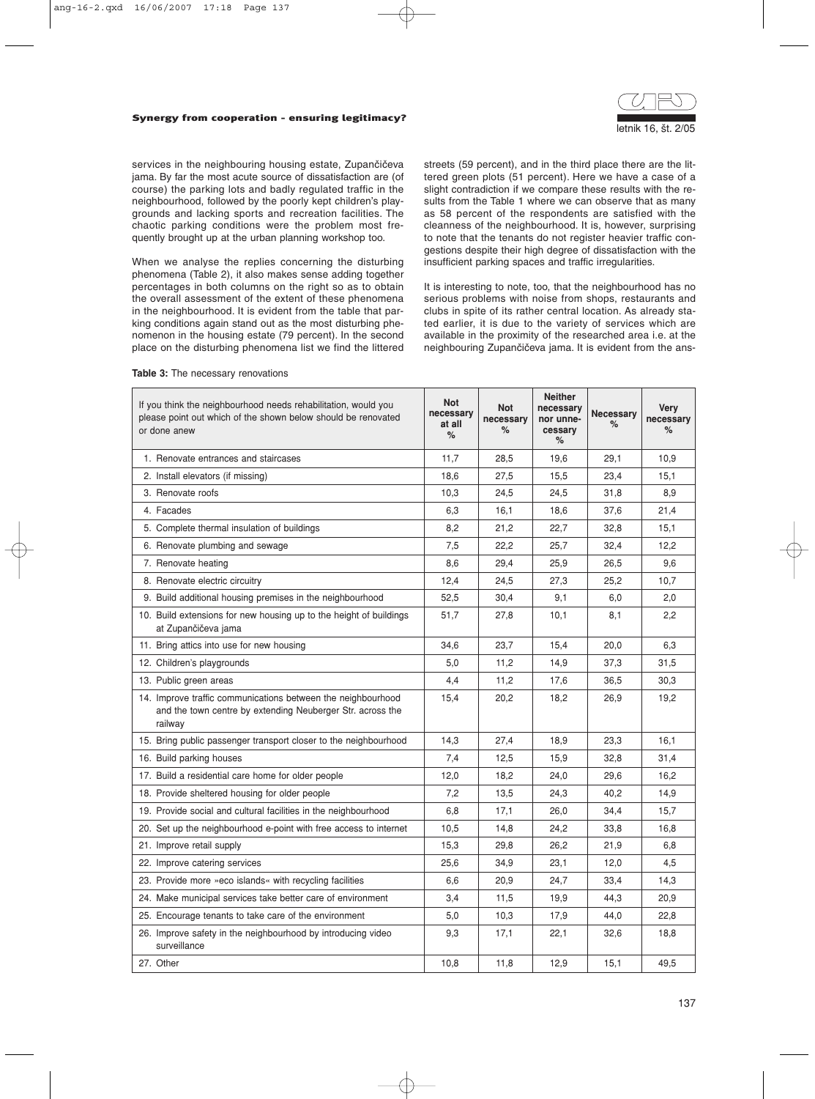#### Synergy from cooperation - ensuring legitimacy?



services in the neighbouring housing estate, Zupančičeva jama. By far the most acute source of dissatisfaction are (of course) the parking lots and badly regulated traffic in the neighbourhood, followed by the poorly kept children's playgrounds and lacking sports and recreation facilities. The chaotic parking conditions were the problem most frequently brought up at the urban planning workshop too.

When we analyse the replies concerning the disturbing phenomena (Table 2), it also makes sense adding together percentages in both columns on the right so as to obtain the overall assessment of the extent of these phenomena in the neighbourhood. It is evident from the table that parking conditions again stand out as the most disturbing phenomenon in the housing estate (79 percent). In the second place on the disturbing phenomena list we find the littered streets (59 percent), and in the third place there are the littered green plots (51 percent). Here we have a case of a slight contradiction if we compare these results with the results from the Table 1 where we can observe that as many as 58 percent of the respondents are satisfied with the cleanness of the neighbourhood. It is, however, surprising to note that the tenants do not register heavier traffic congestions despite their high degree of dissatisfaction with the insufficient parking spaces and traffic irregularities.

It is interesting to note, too, that the neighbourhood has no serious problems with noise from shops, restaurants and clubs in spite of its rather central location. As already stated earlier, it is due to the variety of services which are available in the proximity of the researched area i.e. at the neighbouring Zupančičeva jama. It is evident from the ans-

#### **Table 3:** The necessary renovations

| If you think the neighbourhood needs rehabilitation, would you<br>please point out which of the shown below should be renovated<br>or done anew | <b>Not</b><br>necessary<br>at all<br>% | <b>Not</b><br>necessary<br>% | <b>Neither</b><br>necessary<br>nor unne-<br>cessary<br>% | <b>Necessary</b><br>% | <b>Very</b><br>necessary<br>$\%$ |
|-------------------------------------------------------------------------------------------------------------------------------------------------|----------------------------------------|------------------------------|----------------------------------------------------------|-----------------------|----------------------------------|
| 1. Renovate entrances and staircases                                                                                                            | 11,7                                   | 28,5                         | 19,6                                                     | 29,1                  | 10,9                             |
| 2. Install elevators (if missing)                                                                                                               | 18,6                                   | 27,5                         | 15,5                                                     | 23,4                  | 15,1                             |
| 3. Renovate roofs                                                                                                                               | 10,3                                   | 24,5                         | 24,5                                                     | 31,8                  | 8,9                              |
| 4. Facades                                                                                                                                      | 6,3                                    | 16,1                         | 18,6                                                     | 37,6                  | 21,4                             |
| 5. Complete thermal insulation of buildings                                                                                                     | 8,2                                    | 21,2                         | 22,7                                                     | 32,8                  | 15,1                             |
| 6. Renovate plumbing and sewage                                                                                                                 | 7,5                                    | 22,2                         | 25,7                                                     | 32,4                  | 12,2                             |
| 7. Renovate heating                                                                                                                             | 8,6                                    | 29,4                         | 25,9                                                     | 26,5                  | 9,6                              |
| 8. Renovate electric circuitry                                                                                                                  | 12,4                                   | 24,5                         | 27,3                                                     | 25,2                  | 10,7                             |
| 9. Build additional housing premises in the neighbourhood                                                                                       | 52,5                                   | 30,4                         | 9,1                                                      | 6,0                   | 2,0                              |
| 10. Build extensions for new housing up to the height of buildings<br>at Zupančičeva jama                                                       | 51,7                                   | 27,8                         | 10,1                                                     | 8,1                   | 2,2                              |
| 11. Bring attics into use for new housing                                                                                                       | 34,6                                   | 23.7                         | 15,4                                                     | 20,0                  | 6,3                              |
| 12. Children's playgrounds                                                                                                                      | 5,0                                    | 11,2                         | 14,9                                                     | 37,3                  | 31,5                             |
| 13. Public green areas                                                                                                                          | 4,4                                    | 11,2                         | 17,6                                                     | 36,5                  | 30,3                             |
| 14. Improve traffic communications between the neighbourhood<br>and the town centre by extending Neuberger Str. across the<br>railway           | 15,4                                   | 20,2                         | 18,2                                                     | 26,9                  | 19,2                             |
| 15. Bring public passenger transport closer to the neighbourhood                                                                                | 14,3                                   | 27,4                         | 18,9                                                     | 23,3                  | 16,1                             |
| 16. Build parking houses                                                                                                                        | 7,4                                    | 12,5                         | 15,9                                                     | 32,8                  | 31,4                             |
| 17. Build a residential care home for older people                                                                                              | 12,0                                   | 18,2                         | 24,0                                                     | 29,6                  | 16,2                             |
| 18. Provide sheltered housing for older people                                                                                                  | 7,2                                    | 13,5                         | 24,3                                                     | 40,2                  | 14,9                             |
| 19. Provide social and cultural facilities in the neighbourhood                                                                                 | 6,8                                    | 17,1                         | 26,0                                                     | 34,4                  | 15,7                             |
| 20. Set up the neighbourhood e-point with free access to internet                                                                               | 10,5                                   | 14,8                         | 24,2                                                     | 33,8                  | 16,8                             |
| 21. Improve retail supply                                                                                                                       | 15,3                                   | 29,8                         | 26,2                                                     | 21,9                  | 6,8                              |
| 22. Improve catering services                                                                                                                   | 25,6                                   | 34,9                         | 23,1                                                     | 12,0                  | 4,5                              |
| 23. Provide more »eco islands« with recycling facilities                                                                                        | 6,6                                    | 20.9                         | 24,7                                                     | 33,4                  | 14,3                             |
| 24. Make municipal services take better care of environment                                                                                     | 3,4                                    | 11.5                         | 19.9                                                     | 44.3                  | 20.9                             |
| 25. Encourage tenants to take care of the environment                                                                                           | 5,0                                    | 10,3                         | 17,9                                                     | 44,0                  | 22,8                             |
| 26. Improve safety in the neighbourhood by introducing video<br>surveillance                                                                    | 9,3                                    | 17,1                         | 22,1                                                     | 32,6                  | 18,8                             |
| 27. Other                                                                                                                                       | 10,8                                   | 11,8                         | 12,9                                                     | 15,1                  | 49,5                             |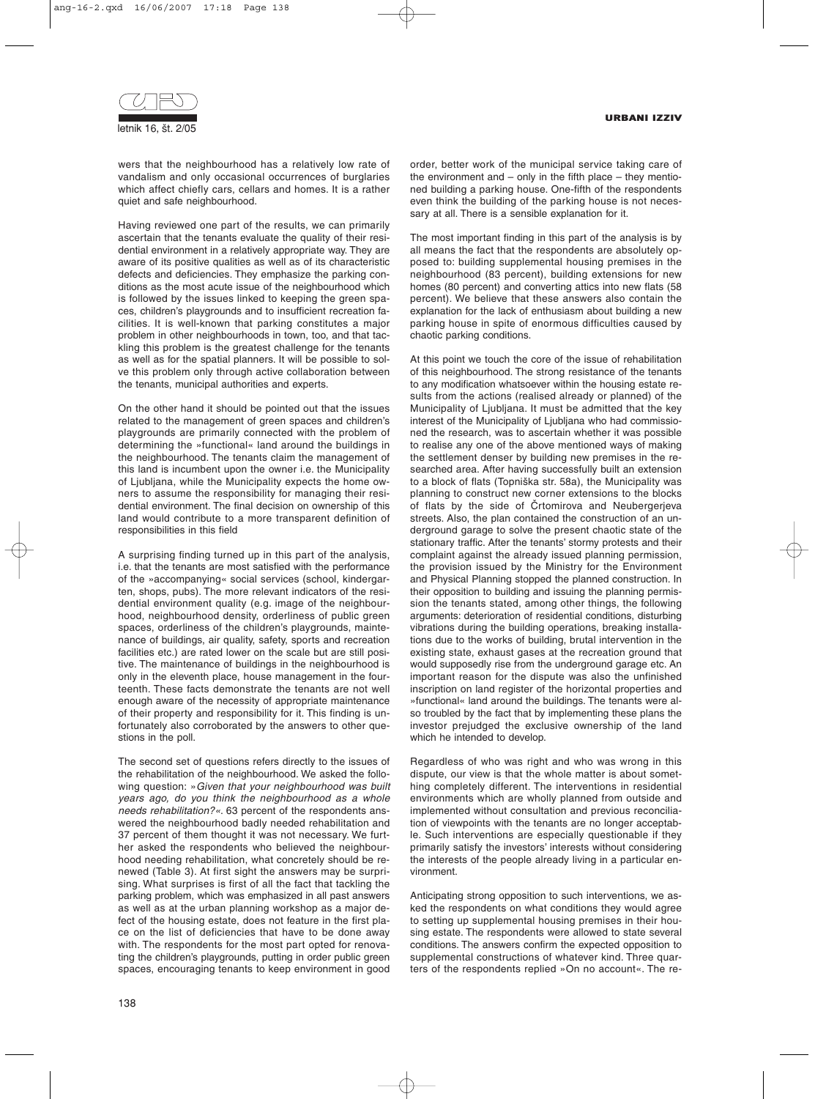

wers that the neighbourhood has a relatively low rate of vandalism and only occasional occurrences of burglaries which affect chiefly cars, cellars and homes. It is a rather quiet and safe neighbourhood.

Having reviewed one part of the results, we can primarily ascertain that the tenants evaluate the quality of their residential environment in a relatively appropriate way. They are aware of its positive qualities as well as of its characteristic defects and deficiencies. They emphasize the parking conditions as the most acute issue of the neighbourhood which is followed by the issues linked to keeping the green spaces, children's playgrounds and to insufficient recreation facilities. It is well-known that parking constitutes a major problem in other neighbourhoods in town, too, and that tackling this problem is the greatest challenge for the tenants as well as for the spatial planners. It will be possible to solve this problem only through active collaboration between the tenants, municipal authorities and experts.

On the other hand it should be pointed out that the issues related to the management of green spaces and children's playgrounds are primarily connected with the problem of determining the »functional« land around the buildings in the neighbourhood. The tenants claim the management of this land is incumbent upon the owner i.e. the Municipality of Ljubljana, while the Municipality expects the home owners to assume the responsibility for managing their residential environment. The final decision on ownership of this land would contribute to a more transparent definition of responsibilities in this field

A surprising finding turned up in this part of the analysis, i.e. that the tenants are most satisfied with the performance of the »accompanying« social services (school, kindergarten, shops, pubs). The more relevant indicators of the residential environment quality (e.g. image of the neighbourhood, neighbourhood density, orderliness of public green spaces, orderliness of the children's playgrounds, maintenance of buildings, air quality, safety, sports and recreation facilities etc.) are rated lower on the scale but are still positive. The maintenance of buildings in the neighbourhood is only in the eleventh place, house management in the fourteenth. These facts demonstrate the tenants are not well enough aware of the necessity of appropriate maintenance of their property and responsibility for it. This finding is unfortunately also corroborated by the answers to other questions in the poll.

The second set of questions refers directly to the issues of the rehabilitation of the neighbourhood. We asked the following question: »*Given that your neighbourhood was built years ago, do you think the neighbourhood as a whole needs rehabilitation?«*. 63 percent of the respondents answered the neighbourhood badly needed rehabilitation and 37 percent of them thought it was not necessary. We further asked the respondents who believed the neighbourhood needing rehabilitation, what concretely should be renewed (Table 3). At first sight the answers may be surprising. What surprises is first of all the fact that tackling the parking problem, which was emphasized in all past answers as well as at the urban planning workshop as a major defect of the housing estate, does not feature in the first place on the list of deficiencies that have to be done away with. The respondents for the most part opted for renovating the children's playgrounds, putting in order public green spaces, encouraging tenants to keep environment in good

order, better work of the municipal service taking care of the environment and  $-$  only in the fifth place  $-$  they mentioned building a parking house. One-fifth of the respondents even think the building of the parking house is not necessary at all. There is a sensible explanation for it.

The most important finding in this part of the analysis is by all means the fact that the respondents are absolutely opposed to: building supplemental housing premises in the neighbourhood (83 percent), building extensions for new homes (80 percent) and converting attics into new flats (58 percent). We believe that these answers also contain the explanation for the lack of enthusiasm about building a new parking house in spite of enormous difficulties caused by chaotic parking conditions.

At this point we touch the core of the issue of rehabilitation of this neighbourhood. The strong resistance of the tenants to any modification whatsoever within the housing estate results from the actions (realised already or planned) of the Municipality of Ljubljana. It must be admitted that the key interest of the Municipality of Ljubljana who had commissioned the research, was to ascertain whether it was possible to realise any one of the above mentioned ways of making the settlement denser by building new premises in the researched area. After having successfully built an extension to a block of flats (Topniška str. 58a), the Municipality was planning to construct new corner extensions to the blocks of flats by the side of Črtomirova and Neubergerjeva streets. Also, the plan contained the construction of an underground garage to solve the present chaotic state of the stationary traffic. After the tenants' stormy protests and their complaint against the already issued planning permission, the provision issued by the Ministry for the Environment and Physical Planning stopped the planned construction. In their opposition to building and issuing the planning permission the tenants stated, among other things, the following arguments: deterioration of residential conditions, disturbing vibrations during the building operations, breaking installations due to the works of building, brutal intervention in the existing state, exhaust gases at the recreation ground that would supposedly rise from the underground garage etc. An important reason for the dispute was also the unfinished inscription on land register of the horizontal properties and »functional« land around the buildings. The tenants were also troubled by the fact that by implementing these plans the investor prejudged the exclusive ownership of the land which he intended to develop.

Regardless of who was right and who was wrong in this dispute, our view is that the whole matter is about something completely different. The interventions in residential environments which are wholly planned from outside and implemented without consultation and previous reconciliation of viewpoints with the tenants are no longer acceptable. Such interventions are especially questionable if they primarily satisfy the investors' interests without considering the interests of the people already living in a particular environment.

Anticipating strong opposition to such interventions, we asked the respondents on what conditions they would agree to setting up supplemental housing premises in their housing estate. The respondents were allowed to state several conditions. The answers confirm the expected opposition to supplemental constructions of whatever kind. Three quarters of the respondents replied »On no account«. The re-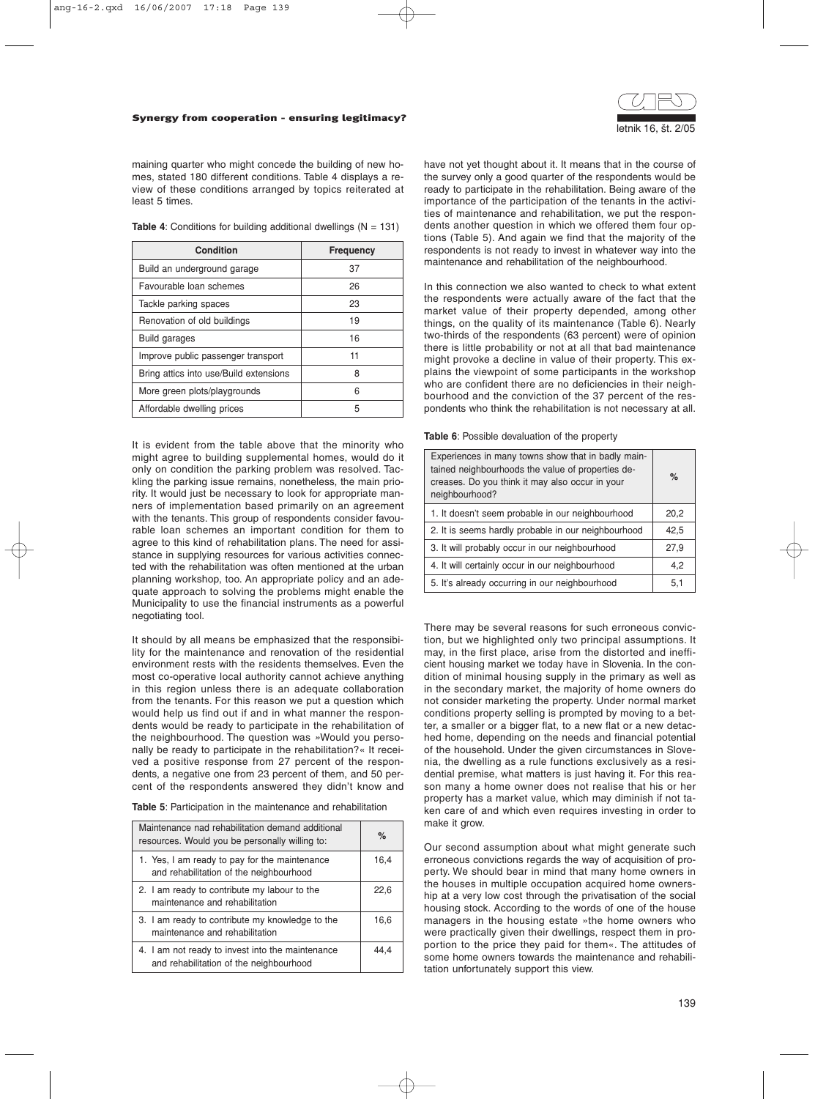

maining quarter who might concede the building of new homes, stated 180 different conditions. Table 4 displays a review of these conditions arranged by topics reiterated at least 5 times.

**Table 4:** Conditions for building additional dwellings (N = 131)

| <b>Condition</b>                       | <b>Frequency</b> |
|----------------------------------------|------------------|
| Build an underground garage            | 37               |
| Favourable loan schemes                | 26               |
| Tackle parking spaces                  | 23               |
| Renovation of old buildings            | 19               |
| Build garages                          | 16               |
| Improve public passenger transport     | 11               |
| Bring attics into use/Build extensions | 8                |
| More green plots/playgrounds           | 6                |
| Affordable dwelling prices             | 5                |

It is evident from the table above that the minority who might agree to building supplemental homes, would do it only on condition the parking problem was resolved. Tackling the parking issue remains, nonetheless, the main priority. It would just be necessary to look for appropriate manners of implementation based primarily on an agreement with the tenants. This group of respondents consider favourable loan schemes an important condition for them to agree to this kind of rehabilitation plans. The need for assistance in supplying resources for various activities connected with the rehabilitation was often mentioned at the urban planning workshop, too. An appropriate policy and an adequate approach to solving the problems might enable the Municipality to use the financial instruments as a powerful negotiating tool.

It should by all means be emphasized that the responsibility for the maintenance and renovation of the residential environment rests with the residents themselves. Even the most co-operative local authority cannot achieve anything in this region unless there is an adequate collaboration from the tenants. For this reason we put a question which would help us find out if and in what manner the respondents would be ready to participate in the rehabilitation of the neighbourhood. The question was *»*Would you personally be ready to participate in the rehabilitation?« It received a positive response from 27 percent of the respondents, a negative one from 23 percent of them, and 50 percent of the respondents answered they didn't know and

| <b>Table 5:</b> Participation in the maintenance and rehabilitation |  |  |  |  |
|---------------------------------------------------------------------|--|--|--|--|
|---------------------------------------------------------------------|--|--|--|--|

| Maintenance nad rehabilitation demand additional<br>resources. Would you be personally willing to: | $\%$ |
|----------------------------------------------------------------------------------------------------|------|
| 1. Yes, I am ready to pay for the maintenance<br>and rehabilitation of the neighbourhood           | 16,4 |
| 2. I am ready to contribute my labour to the<br>maintenance and rehabilitation                     | 22.6 |
| 3. I am ready to contribute my knowledge to the<br>maintenance and rehabilitation                  | 16.6 |
| 4. I am not ready to invest into the maintenance<br>and rehabilitation of the neighbourhood        | 44.4 |

have not yet thought about it. It means that in the course of the survey only a good quarter of the respondents would be ready to participate in the rehabilitation. Being aware of the importance of the participation of the tenants in the activities of maintenance and rehabilitation, we put the respondents another question in which we offered them four options (Table 5). And again we find that the majority of the respondents is not ready to invest in whatever way into the maintenance and rehabilitation of the neighbourhood.

In this connection we also wanted to check to what extent the respondents were actually aware of the fact that the market value of their property depended, among other things, on the quality of its maintenance (Table 6). Nearly two-thirds of the respondents (63 percent) were of opinion there is little probability or not at all that bad maintenance might provoke a decline in value of their property. This explains the viewpoint of some participants in the workshop who are confident there are no deficiencies in their neighbourhood and the conviction of the 37 percent of the respondents who think the rehabilitation is not necessary at all.

**Table 6**: Possible devaluation of the property

| Experiences in many towns show that in badly main-<br>tained neighbourhoods the value of properties de-<br>creases. Do you think it may also occur in your<br>neighbourhood? | $\%$ |
|------------------------------------------------------------------------------------------------------------------------------------------------------------------------------|------|
| 1. It doesn't seem probable in our neighbourhood                                                                                                                             | 20,2 |
| 2. It is seems hardly probable in our neighbourhood                                                                                                                          | 42,5 |
| 3. It will probably occur in our neighbourhood                                                                                                                               | 27,9 |
| 4. It will certainly occur in our neighbourhood                                                                                                                              | 4,2  |
| 5. It's already occurring in our neighbourhood                                                                                                                               | 5,1  |

There may be several reasons for such erroneous conviction, but we highlighted only two principal assumptions. It may, in the first place, arise from the distorted and inefficient housing market we today have in Slovenia. In the condition of minimal housing supply in the primary as well as in the secondary market, the majority of home owners do not consider marketing the property. Under normal market conditions property selling is prompted by moving to a better, a smaller or a bigger flat, to a new flat or a new detached home, depending on the needs and financial potential of the household. Under the given circumstances in Slovenia, the dwelling as a rule functions exclusively as a residential premise, what matters is just having it. For this reason many a home owner does not realise that his or her property has a market value, which may diminish if not taken care of and which even requires investing in order to make it grow.

Our second assumption about what might generate such erroneous convictions regards the way of acquisition of property. We should bear in mind that many home owners in the houses in multiple occupation acquired home ownership at a very low cost through the privatisation of the social housing stock. According to the words of one of the house managers in the housing estate »the home owners who were practically given their dwellings, respect them in proportion to the price they paid for them«. The attitudes of some home owners towards the maintenance and rehabilitation unfortunately support this view.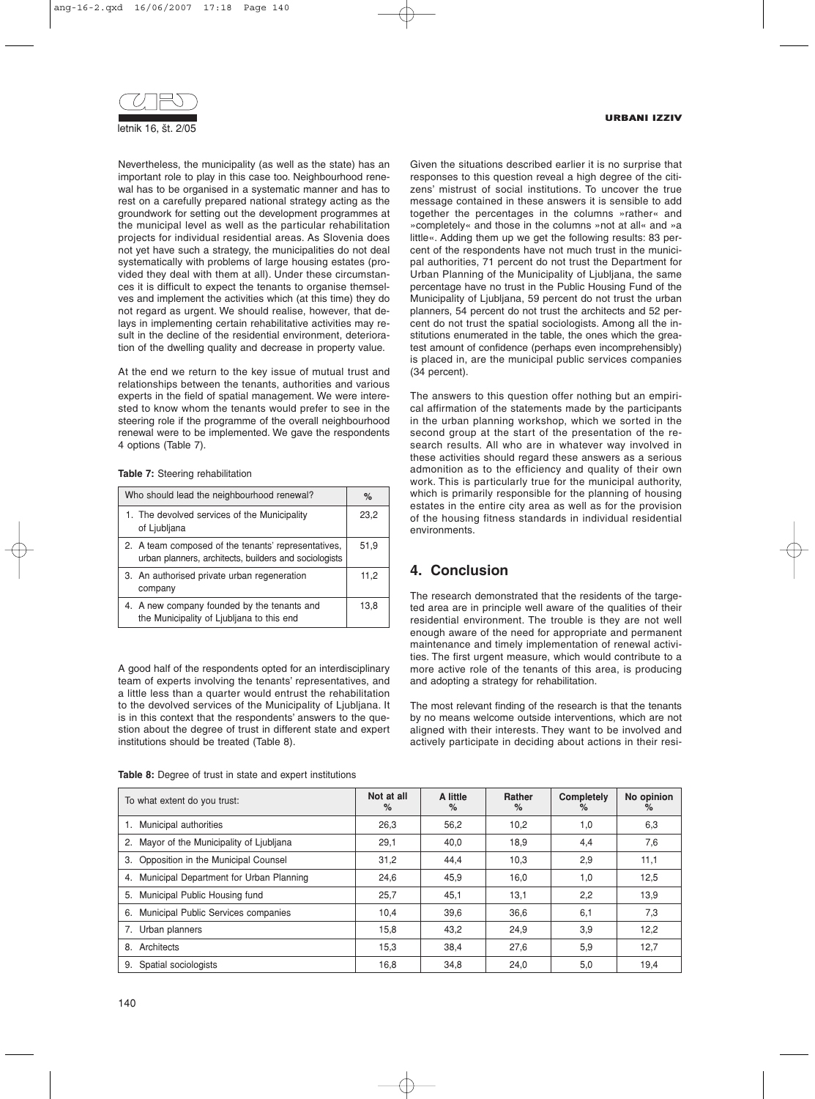

Nevertheless, the municipality (as well as the state) has an important role to play in this case too. Neighbourhood renewal has to be organised in a systematic manner and has to rest on a carefully prepared national strategy acting as the groundwork for setting out the development programmes at the municipal level as well as the particular rehabilitation projects for individual residential areas. As Slovenia does not yet have such a strategy, the municipalities do not deal systematically with problems of large housing estates (provided they deal with them at all). Under these circumstances it is difficult to expect the tenants to organise themselves and implement the activities which (at this time) they do not regard as urgent. We should realise, however, that delays in implementing certain rehabilitative activities may result in the decline of the residential environment, deterioration of the dwelling quality and decrease in property value.

At the end we return to the key issue of mutual trust and relationships between the tenants, authorities and various experts in the field of spatial management. We were interested to know whom the tenants would prefer to see in the steering role if the programme of the overall neighbourhood renewal were to be implemented. We gave the respondents 4 options (Table 7).

**Table 7:** Steering rehabilitation

| Who should lead the neighbourhood renewal?                                                                   | $\%$ |
|--------------------------------------------------------------------------------------------------------------|------|
| 1. The devolved services of the Municipality<br>of Ljubljana                                                 | 23,2 |
| 2. A team composed of the tenants' representatives,<br>urban planners, architects, builders and sociologists | 51,9 |
| 3. An authorised private urban regeneration<br>company                                                       | 11,2 |
| 4. A new company founded by the tenants and<br>the Municipality of Ljubljana to this end                     | 13.8 |

A good half of the respondents opted for an interdisciplinary team of experts involving the tenants' representatives, and a little less than a quarter would entrust the rehabilitation to the devolved services of the Municipality of Ljubljana. It is in this context that the respondents' answers to the question about the degree of trust in different state and expert institutions should be treated (Table 8).

**Table 8:** Degree of trust in state and expert institutions

Given the situations described earlier it is no surprise that responses to this question reveal a high degree of the citizens' mistrust of social institutions. To uncover the true message contained in these answers it is sensible to add together the percentages in the columns »rather« and »completely« and those in the columns »not at all« and »a little«. Adding them up we get the following results: 83 percent of the respondents have not much trust in the municipal authorities, 71 percent do not trust the Department for Urban Planning of the Municipality of Ljubljana, the same percentage have no trust in the Public Housing Fund of the Municipality of Ljubljana, 59 percent do not trust the urban planners, 54 percent do not trust the architects and 52 percent do not trust the spatial sociologists. Among all the institutions enumerated in the table, the ones which the greatest amount of confidence (perhaps even incomprehensibly) is placed in, are the municipal public services companies (34 percent).

The answers to this question offer nothing but an empirical affirmation of the statements made by the participants in the urban planning workshop, which we sorted in the second group at the start of the presentation of the research results. All who are in whatever way involved in these activities should regard these answers as a serious admonition as to the efficiency and quality of their own work. This is particularly true for the municipal authority, which is primarily responsible for the planning of housing estates in the entire city area as well as for the provision of the housing fitness standards in individual residential environments.

# **4. Conclusion**

The research demonstrated that the residents of the targeted area are in principle well aware of the qualities of their residential environment. The trouble is they are not well enough aware of the need for appropriate and permanent maintenance and timely implementation of renewal activities. The first urgent measure, which would contribute to a more active role of the tenants of this area, is producing and adopting a strategy for rehabilitation.

The most relevant finding of the research is that the tenants by no means welcome outside interventions, which are not aligned with their interests. They want to be involved and actively participate in deciding about actions in their resi-

| To what extent do you trust:               | Not at all<br>$\%$ | A little<br>$\%$ | <b>Rather</b><br>% | <b>Completely</b><br>$\%$ | No opinion<br>% |
|--------------------------------------------|--------------------|------------------|--------------------|---------------------------|-----------------|
| 1. Municipal authorities                   | 26,3               | 56,2             | 10,2               | 1,0                       | 6,3             |
| 2. Mayor of the Municipality of Ljubljana  | 29,1               | 40,0             | 18,9               | 4,4                       | 7,6             |
| 3. Opposition in the Municipal Counsel     | 31,2               | 44,4             | 10,3               | 2,9                       | 11,1            |
| 4. Municipal Department for Urban Planning | 24,6               | 45,9             | 16,0               | 1,0                       | 12,5            |
| 5. Municipal Public Housing fund           | 25,7               | 45,1             | 13,1               | 2,2                       | 13,9            |
| 6. Municipal Public Services companies     | 10,4               | 39,6             | 36,6               | 6,1                       | 7,3             |
| 7. Urban planners                          | 15,8               | 43,2             | 24,9               | 3,9                       | 12,2            |
| 8. Architects                              | 15,3               | 38.4             | 27,6               | 5,9                       | 12,7            |
| 9. Spatial sociologists                    | 16,8               | 34.8             | 24.0               | 5,0                       | 19.4            |